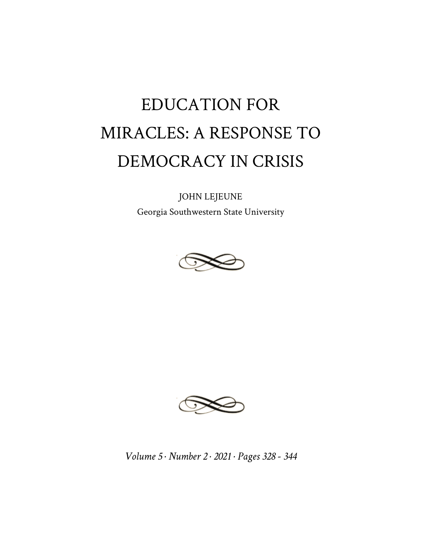## EDUCATION FOR MIRACLES: A RESPONSE TO DEMOCRACY IN CRISIS

JOHN LEJEUNE

Georgia Southwestern State University





*Volume 5 · Number 2 · 2021 · Pages 328 - 344*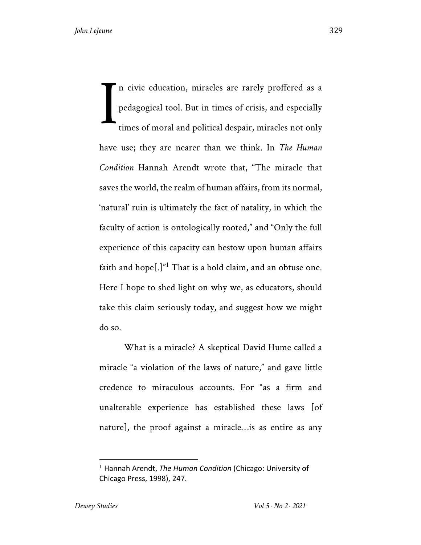n civic education, miracles are rarely proffered as a pedagogical tool. But in times of crisis, and especially times of moral and political despair, miracles not only have use; they are nearer than we think. In *The Human Condition* Hannah Arendt wrote that, "The miracle that saves the world, the realm of human affairs, from its normal, 'natural' ruin is ultimately the fact of natality, in which the faculty of action is ontologically rooted," and "Only the full experience of this capacity can bestow upon human affairs faith and hope $[.]$ <sup>"1</sup> That is a bold claim, and an obtuse one. Here I hope to shed light on why we, as educators, should take this claim seriously today, and suggest how we might do so. I

What is a miracle? A skeptical David Hume called a miracle "a violation of the laws of nature," and gave little credence to miraculous accounts. For "as a firm and unalterable experience has established these laws [of nature], the proof against a miracle…is as entire as any

<sup>1</sup> Hannah Arendt, *The Human Condition* (Chicago: University of Chicago Press, 1998), 247.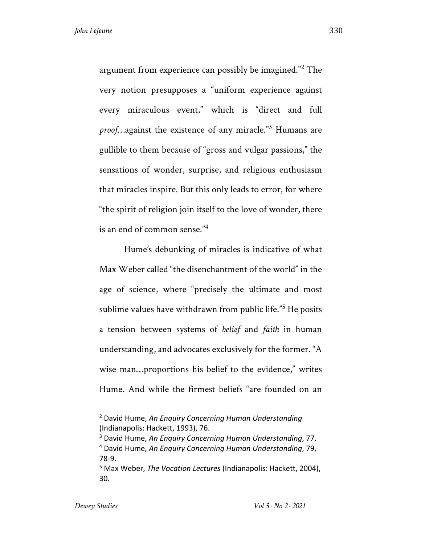argument from experience can possibly be imagined."<sup>2</sup> The very notion presupposes a "uniform experience against every miraculous event," which is "direct and full *proof*…against the existence of any miracle."3 Humans are gullible to them because of "gross and vulgar passions," the sensations of wonder, surprise, and religious enthusiasm that miracles inspire. But this only leads to error, for where "the spirit of religion join itself to the love of wonder, there is an end of common sense."<sup>4</sup>

Hume's debunking of miracles is indicative of what Max Weber called "the disenchantment of the world" in the age of science, where "precisely the ultimate and most sublime values have withdrawn from public life."<sup>5</sup> He posits a tension between systems of *belief* and *faith* in human understanding, and advocates exclusively for the former. "A wise man...proportions his belief to the evidence," writes Hume. And while the firmest beliefs "are founded on an

<sup>2</sup> David Hume, *An Enquiry Concerning Human Understanding* (Indianapolis: Hackett, 1993), 76.

<sup>3</sup> David Hume, *An Enquiry Concerning Human Understanding*, 77. <sup>4</sup> David Hume, *An Enquiry Concerning Human Understanding*, 79, 78-9.

<sup>5</sup> Max Weber, *The Vocation Lectures* (Indianapolis: Hackett, 2004), 30.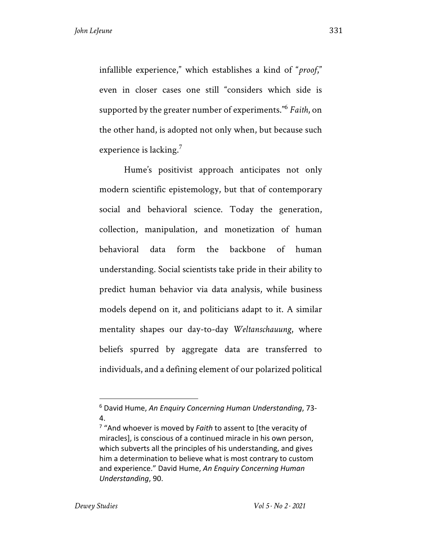infallible experience," which establishes a kind of "*proof*," even in closer cases one still "considers which side is supported by the greater number of experiments."6 *Faith*, on the other hand, is adopted not only when, but because such experience is lacking.<sup>7</sup>

Hume's positivist approach anticipates not only modern scientific epistemology, but that of contemporary social and behavioral science. Today the generation, collection, manipulation, and monetization of human behavioral data form the backbone of human understanding. Social scientists take pride in their ability to predict human behavior via data analysis, while business models depend on it, and politicians adapt to it. A similar mentality shapes our day-to-day *Weltanschauung*, where beliefs spurred by aggregate data are transferred to individuals, and a defining element of our polarized political

<sup>6</sup> David Hume, *An Enquiry Concerning Human Understanding*, 73- 4.

<sup>7</sup> "And whoever is moved by *Faith* to assent to [the veracity of miracles], is conscious of a continued miracle in his own person, which subverts all the principles of his understanding, and gives him a determination to believe what is most contrary to custom and experience." David Hume, *An Enquiry Concerning Human Understanding*, 90.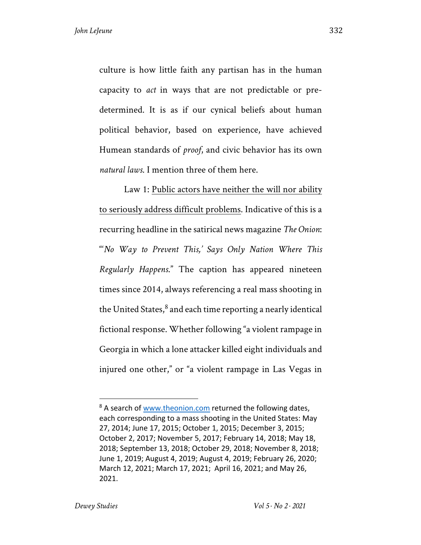culture is how little faith any partisan has in the human capacity to *act* in ways that are not predictable or predetermined. It is as if our cynical beliefs about human political behavior, based on experience, have achieved Humean standards of *proof*, and civic behavior has its own *natural laws*. I mention three of them here.

Law 1: Public actors have neither the will nor ability to seriously address difficult problems. Indicative of this is a recurring headline in the satirical news magazine *The Onion*: "'*No Way to Prevent This,' Says Only Nation Where This Regularly Happens*." The caption has appeared nineteen times since 2014, always referencing a real mass shooting in the United States, $^8$  and each time reporting a nearly identical fictional response. Whether following "a violent rampage in Georgia in which a lone attacker killed eight individuals and injured one other," or "a violent rampage in Las Vegas in

<sup>&</sup>lt;sup>8</sup> A search of www.theonion.com returned the following dates, each corresponding to a mass shooting in the United States: May 27, 2014; June 17, 2015; October 1, 2015; December 3, 2015; October 2, 2017; November 5, 2017; February 14, 2018; May 18, 2018; September 13, 2018; October 29, 2018; November 8, 2018; June 1, 2019; August 4, 2019; August 4, 2019; February 26, 2020; March 12, 2021; March 17, 2021; April 16, 2021; and May 26, 2021.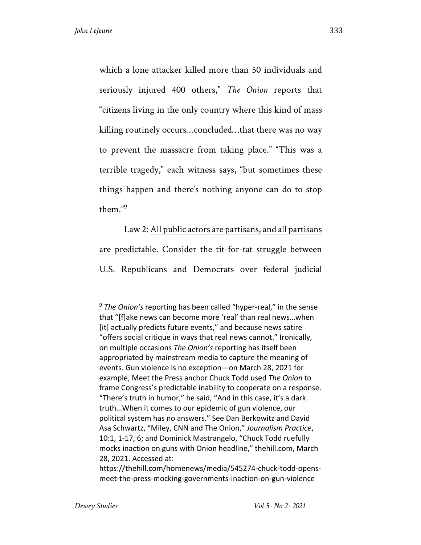which a lone attacker killed more than 50 individuals and seriously injured 400 others," *The Onion* reports that "citizens living in the only country where this kind of mass killing routinely occurs…concluded…that there was no way to prevent the massacre from taking place." "This was a terrible tragedy," each witness says, "but sometimes these things happen and there's nothing anyone can do to stop them $"9$ 

Law 2: All public actors are partisans, and all partisans are predictable. Consider the tit-for-tat struggle between U.S. Republicans and Democrats over federal judicial

<sup>9</sup> *The Onion's* reporting has been called "hyper-real," in the sense that "[f]ake news can become more 'real' than real news…when [it] actually predicts future events," and because news satire "offers social critique in ways that real news cannot." Ironically, on multiple occasions *The Onion's* reporting has itself been appropriated by mainstream media to capture the meaning of events. Gun violence is no exception—on March 28, 2021 for example, Meet the Press anchor Chuck Todd used *The Onion* to frame Congress's predictable inability to cooperate on a response. "There's truth in humor," he said, "And in this case, it's a dark truth…When it comes to our epidemic of gun violence, our political system has no answers." See Dan Berkowitz and David Asa Schwartz, "Miley, CNN and The Onion," *Journalism Practice*, 10:1, 1-17, 6; and Dominick Mastrangelo, "Chuck Todd ruefully mocks inaction on guns with Onion headline," thehill.com, March 28, 2021. Accessed at:

https://thehill.com/homenews/media/545274-chuck-todd-opensmeet-the-press-mocking-governments-inaction-on-gun-violence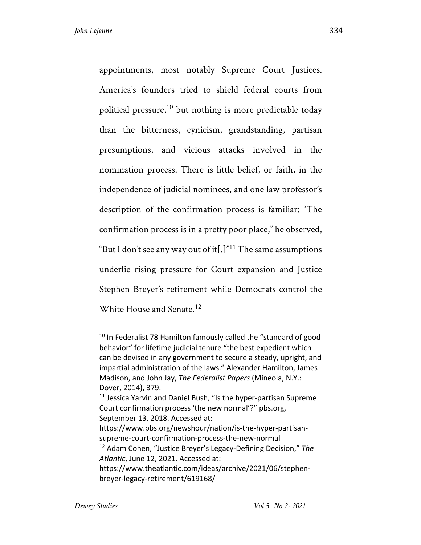appointments, most notably Supreme Court Justices. America's founders tried to shield federal courts from political pressure,<sup>10</sup> but nothing is more predictable today than the bitterness, cynicism, grandstanding, partisan presumptions, and vicious attacks involved in the nomination process. There is little belief, or faith, in the independence of judicial nominees, and one law professor's description of the confirmation process is familiar: "The confirmation process is in a pretty poor place," he observed, "But I don't see any way out of it<sup>[.]"11</sup> The same assumptions underlie rising pressure for Court expansion and Justice Stephen Breyer's retirement while Democrats control the White House and Senate.<sup>12</sup>

<sup>&</sup>lt;sup>10</sup> In Federalist 78 Hamilton famously called the "standard of good behavior" for lifetime judicial tenure "the best expedient which can be devised in any government to secure a steady, upright, and impartial administration of the laws." Alexander Hamilton, James Madison, and John Jay, *The Federalist Papers* (Mineola, N.Y.: Dover, 2014), 379.

 $11$  Jessica Yarvin and Daniel Bush, "Is the hyper-partisan Supreme Court confirmation process 'the new normal'?" pbs.org, September 13, 2018. Accessed at:

https://www.pbs.org/newshour/nation/is-the-hyper-partisansupreme-court-confirmation-process-the-new-normal

<sup>12</sup> Adam Cohen, "Justice Breyer's Legacy-Defining Decision," *The Atlantic*, June 12, 2021. Accessed at:

https://www.theatlantic.com/ideas/archive/2021/06/stephenbreyer-legacy-retirement/619168/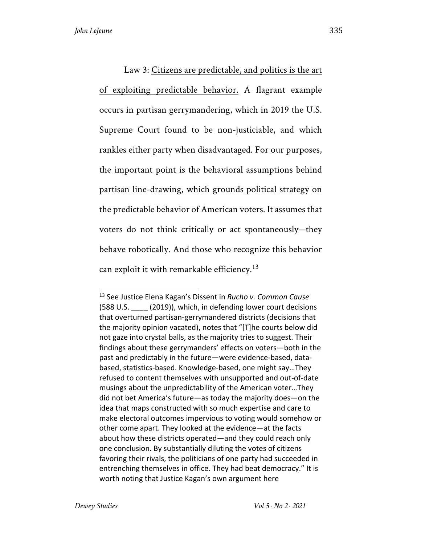Law 3: Citizens are predictable, and politics is the art of exploiting predictable behavior. A flagrant example occurs in partisan gerrymandering, which in 2019 the U.S. Supreme Court found to be non-justiciable, and which rankles either party when disadvantaged. For our purposes, the important point is the behavioral assumptions behind partisan line-drawing, which grounds political strategy on the predictable behavior of American voters. It assumes that voters do not think critically or act spontaneously—they behave robotically. And those who recognize this behavior can exploit it with remarkable efficiency.<sup>13</sup>

<sup>13</sup> See Justice Elena Kagan's Dissent in *Rucho v. Common Cause*  (588 U.S. \_\_\_\_ (2019)), which, in defending lower court decisions that overturned partisan-gerrymandered districts (decisions that the majority opinion vacated), notes that "[T]he courts below did not gaze into crystal balls, as the majority tries to suggest. Their findings about these gerrymanders' effects on voters—both in the past and predictably in the future—were evidence-based, databased, statistics-based. Knowledge-based, one might say…They refused to content themselves with unsupported and out-of-date musings about the unpredictability of the American voter…They did not bet America's future—as today the majority does—on the idea that maps constructed with so much expertise and care to make electoral outcomes impervious to voting would somehow or other come apart. They looked at the evidence—at the facts about how these districts operated—and they could reach only one conclusion. By substantially diluting the votes of citizens favoring their rivals, the politicians of one party had succeeded in entrenching themselves in office. They had beat democracy." It is worth noting that Justice Kagan's own argument here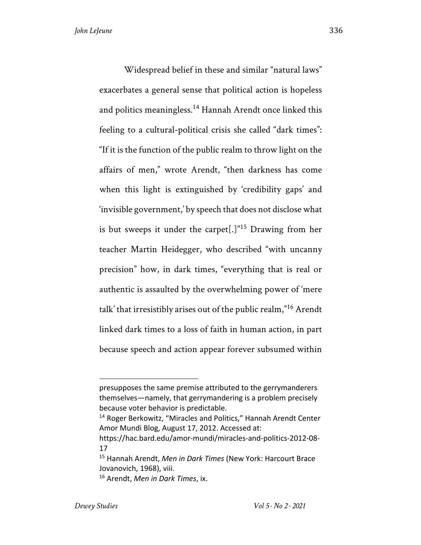Widespread belief in these and similar "natural laws" exacerbates a general sense that political action is hopeless and politics meaningless.<sup>14</sup> Hannah Arendt once linked this feeling to a cultural-political crisis she called "dark times": "If it is the function of the public realm to throw light on the affairs of men," wrote Arendt, "then darkness has come when this light is extinguished by 'credibility gaps' and 'invisible government,' by speech that does not disclose what is but sweeps it under the carpet[.] $n<sup>15</sup>$  Drawing from her teacher Martin Heidegger, who described "with uncanny precision" how, in dark times, "everything that is real or authentic is assaulted by the overwhelming power of 'mere talk' that irresistibly arises out of the public realm,"<sup>16</sup> Arendt linked dark times to a loss of faith in human action, in part because speech and action appear forever subsumed within

presupposes the same premise attributed to the gerrymanderers themselves—namely, that gerrymandering is a problem precisely because voter behavior is predictable.

<sup>&</sup>lt;sup>14</sup> Roger Berkowitz, "Miracles and Politics," Hannah Arendt Center Amor Mundi Blog, August 17, 2012. Accessed at:

https://hac.bard.edu/amor-mundi/miracles-and-politics-2012-08- 17

<sup>15</sup> Hannah Arendt, *Men in Dark Times* (New York: Harcourt Brace Jovanovich, 1968), viii.

<sup>16</sup> Arendt, *Men in Dark Times*, ix.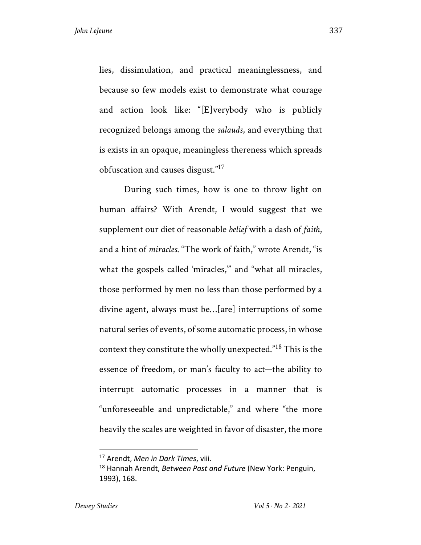lies, dissimulation, and practical meaninglessness, and because so few models exist to demonstrate what courage and action look like: "[E]verybody who is publicly recognized belongs among the *salauds*, and everything that is exists in an opaque, meaningless thereness which spreads obfuscation and causes disgust."17

During such times, how is one to throw light on human affairs? With Arendt, I would suggest that we supplement our diet of reasonable *belief* with a dash of *faith*, and a hint of *miracles*. "The work of faith," wrote Arendt, "is what the gospels called 'miracles,'" and "what all miracles, those performed by men no less than those performed by a divine agent, always must be…[are] interruptions of some natural series of events, of some automatic process, in whose context they constitute the wholly unexpected."<sup>18</sup> This is the essence of freedom, or man's faculty to act—the ability to interrupt automatic processes in a manner that is "unforeseeable and unpredictable," and where "the more heavily the scales are weighted in favor of disaster, the more

<sup>17</sup> Arendt, *Men in Dark Times*, viii.

<sup>18</sup> Hannah Arendt, *Between Past and Future* (New York: Penguin, 1993), 168.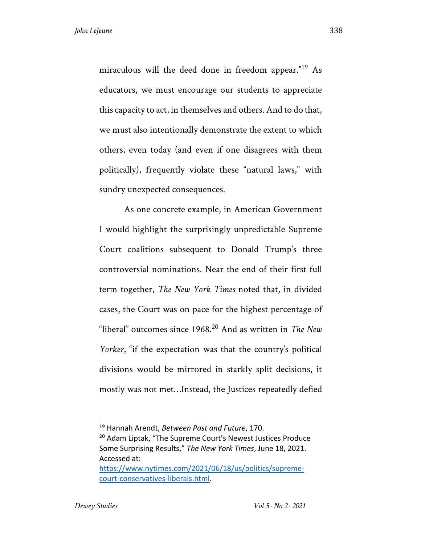miraculous will the deed done in freedom appear."19 As educators, we must encourage our students to appreciate this capacity to act, in themselves and others. And to do that, we must also intentionally demonstrate the extent to which others, even today (and even if one disagrees with them politically), frequently violate these "natural laws," with sundry unexpected consequences.

As one concrete example, in American Government I would highlight the surprisingly unpredictable Supreme Court coalitions subsequent to Donald Trump's three controversial nominations. Near the end of their first full term together, *The New York Times* noted that, in divided cases, the Court was on pace for the highest percentage of "liberal" outcomes since 1968.<sup>20</sup> And as written in *The New Yorker*, "if the expectation was that the country's political divisions would be mirrored in starkly split decisions, it mostly was not met…Instead, the Justices repeatedly defied

<sup>19</sup> Hannah Arendt, *Between Past and Future*, 170. <sup>20</sup> Adam Liptak, "The Supreme Court's Newest Justices Produce Some Surprising Results," *The New York Times*, June 18, 2021. Accessed at: https://www.nytimes.com/2021/06/18/us/politics/supreme-

court-conservatives-liberals.html.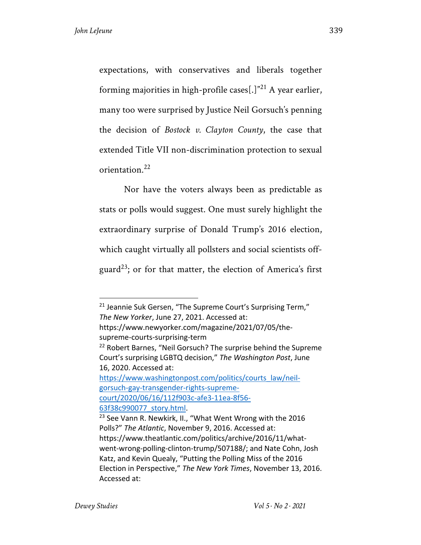expectations, with conservatives and liberals together forming majorities in high-profile cases[.] $^{\prime\prime}$ <sup>21</sup> A year earlier, many too were surprised by Justice Neil Gorsuch's penning the decision of *Bostock v. Clayton County*, the case that extended Title VII non-discrimination protection to sexual orientation.<sup>22</sup>

Nor have the voters always been as predictable as stats or polls would suggest. One must surely highlight the extraordinary surprise of Donald Trump's 2016 election, which caught virtually all pollsters and social scientists offguard<sup>23</sup>; or for that matter, the election of America's first

<sup>&</sup>lt;sup>21</sup> Jeannie Suk Gersen, "The Supreme Court's Surprising Term," *The New Yorker*, June 27, 2021. Accessed at: https://www.newyorker.com/magazine/2021/07/05/thesupreme-courts-surprising-term <sup>22</sup> Robert Barnes, "Neil Gorsuch? The surprise behind the Supreme Court's surprising LGBTQ decision," *The Washington Post*, June 16, 2020. Accessed at: https://www.washingtonpost.com/politics/courts\_law/neilgorsuch-gay-transgender-rights-supremecourt/2020/06/16/112f903c-afe3-11ea-8f56- 63f38c990077\_story.html. <sup>23</sup> See Vann R. Newkirk, II., "What Went Wrong with the 2016 Polls?" *The Atlantic*, November 9, 2016. Accessed at: https://www.theatlantic.com/politics/archive/2016/11/whatwent-wrong-polling-clinton-trump/507188/; and Nate Cohn, Josh Katz, and Kevin Quealy, "Putting the Polling Miss of the 2016

Election in Perspective," *The New York Times*, November 13, 2016. Accessed at: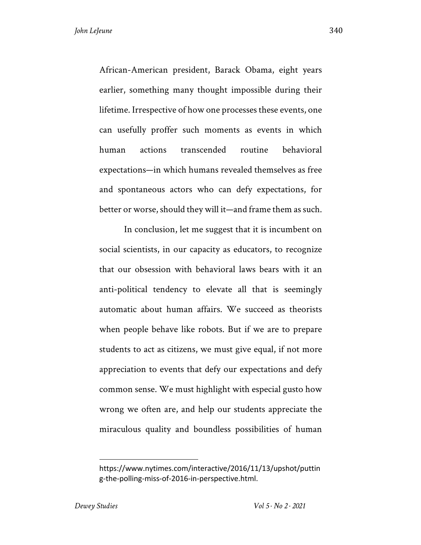African-American president, Barack Obama, eight years earlier, something many thought impossible during their lifetime. Irrespective of how one processes these events, one can usefully proffer such moments as events in which human actions transcended routine behavioral expectations—in which humans revealed themselves as free and spontaneous actors who can defy expectations, for better or worse, should they will it—and frame them as such.

In conclusion, let me suggest that it is incumbent on social scientists, in our capacity as educators, to recognize that our obsession with behavioral laws bears with it an anti-political tendency to elevate all that is seemingly automatic about human affairs. We succeed as theorists when people behave like robots. But if we are to prepare students to act as citizens, we must give equal, if not more appreciation to events that defy our expectations and defy common sense. We must highlight with especial gusto how wrong we often are, and help our students appreciate the miraculous quality and boundless possibilities of human

https://www.nytimes.com/interactive/2016/11/13/upshot/puttin g-the-polling-miss-of-2016-in-perspective.html.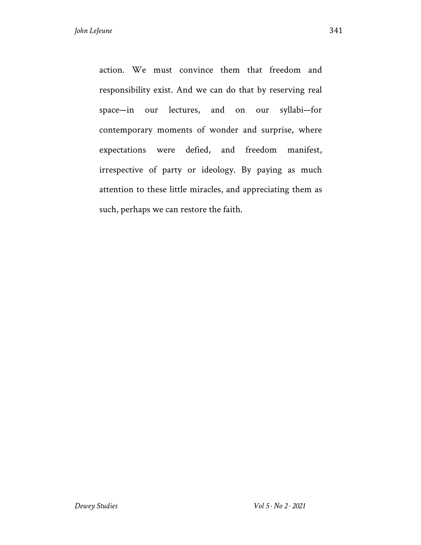action. We must convince them that freedom and responsibility exist. And we can do that by reserving real space—in our lectures, and on our syllabi—for contemporary moments of wonder and surprise, where expectations were defied, and freedom manifest, irrespective of party or ideology. By paying as much attention to these little miracles, and appreciating them as such, perhaps we can restore the faith.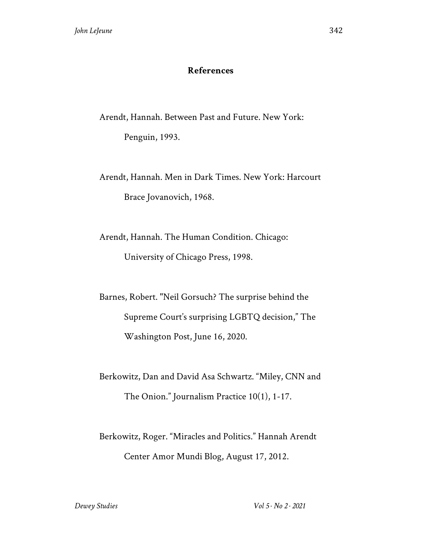## **References**

Arendt, Hannah. Between Past and Future. New York: Penguin, 1993.

Arendt, Hannah. Men in Dark Times. New York: Harcourt Brace Jovanovich, 1968.

Arendt, Hannah. The Human Condition. Chicago: University of Chicago Press, 1998.

Barnes, Robert. "Neil Gorsuch? The surprise behind the Supreme Court's surprising LGBTQ decision," The Washington Post, June 16, 2020.

Berkowitz, Dan and David Asa Schwartz. "Miley, CNN and The Onion." Journalism Practice 10(1), 1-17.

Berkowitz, Roger. "Miracles and Politics." Hannah Arendt Center Amor Mundi Blog, August 17, 2012.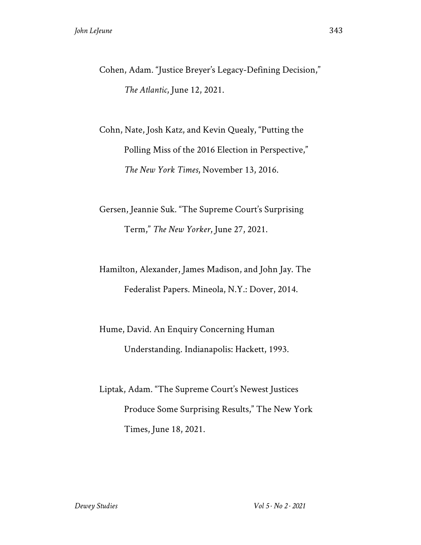Cohen, Adam. "Justice Breyer's Legacy-Defining Decision," *The Atlantic*, June 12, 2021.

Cohn, Nate, Josh Katz, and Kevin Quealy, "Putting the Polling Miss of the 2016 Election in Perspective," *The New York Times*, November 13, 2016.

Gersen, Jeannie Suk. "The Supreme Court's Surprising Term," *The New Yorker*, June 27, 2021.

Hamilton, Alexander, James Madison, and John Jay. The Federalist Papers. Mineola, N.Y.: Dover, 2014.

Hume, David. An Enquiry Concerning Human Understanding. Indianapolis: Hackett, 1993.

Liptak, Adam. "The Supreme Court's Newest Justices Produce Some Surprising Results," The New York Times, June 18, 2021.